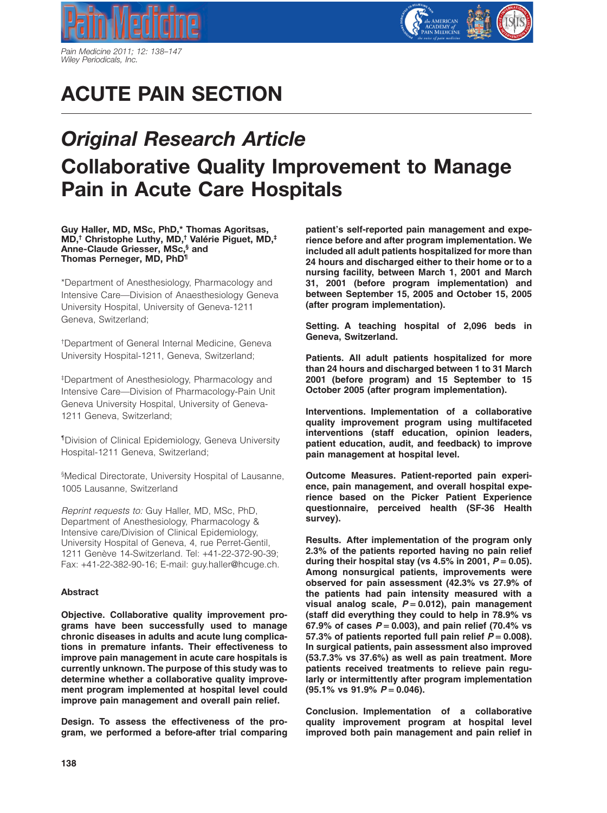

*Pain Medicine 2011; 12: 138–147 Wiley Periodicals, Inc.*

# **ACUTE PAIN SECTION**

## *Original Research Article* **Collaborative Quality Improvement to Manage Pain in Acute Care Hospitals**

**Guy Haller, MD, MSc, PhD,\* Thomas Agoritsas, MD,† Christophe Luthy, MD,† Valérie Piguet, MD,‡ Anne-Claude Griesser, MSc,§ and Thomas Perneger, MD, PhD¶**

\*Department of Anesthesiology, Pharmacology and Intensive Care—Division of Anaesthesiology Geneva University Hospital, University of Geneva-1211 Geneva, Switzerland;

† Department of General Internal Medicine, Geneva University Hospital-1211, Geneva, Switzerland;

‡ Department of Anesthesiology, Pharmacology and Intensive Care—Division of Pharmacology-Pain Unit Geneva University Hospital, University of Geneva-1211 Geneva, Switzerland;

¶Division of Clinical Epidemiology, Geneva University Hospital-1211 Geneva, Switzerland;

§ Medical Directorate, University Hospital of Lausanne, 1005 Lausanne, Switzerland

*Reprint requests to:* Guy Haller, MD, MSc, PhD, Department of Anesthesiology, Pharmacology & Intensive care/Division of Clinical Epidemiology, University Hospital of Geneva, 4, rue Perret-Gentil, 1211 Genève 14-Switzerland. Tel: +41-22-372-90-39; Fax: +41-22-382-90-16; E-mail: guy.haller@hcuge.ch.

#### **Abstract**

**Objective. Collaborative quality improvement programs have been successfully used to manage chronic diseases in adults and acute lung complications in premature infants. Their effectiveness to improve pain management in acute care hospitals is currently unknown. The purpose of this study was to determine whether a collaborative quality improvement program implemented at hospital level could improve pain management and overall pain relief.**

**Design. To assess the effectiveness of the program, we performed a before-after trial comparing** **patient's self-reported pain management and experience before and after program implementation. We included all adult patients hospitalized for more than 24 hours and discharged either to their home or to a nursing facility, between March 1, 2001 and March 31, 2001 (before program implementation) and between September 15, 2005 and October 15, 2005 (after program implementation).**

**Setting. A teaching hospital of 2,096 beds in Geneva, Switzerland.**

**Patients. All adult patients hospitalized for more than 24 hours and discharged between 1 to 31 March 2001 (before program) and 15 September to 15 October 2005 (after program implementation).**

**Interventions. Implementation of a collaborative quality improvement program using multifaceted interventions (staff education, opinion leaders, patient education, audit, and feedback) to improve pain management at hospital level.**

**Outcome Measures. Patient-reported pain experience, pain management, and overall hospital experience based on the Picker Patient Experience questionnaire, perceived health (SF-36 Health survey).**

**Results. After implementation of the program only 2.3% of the patients reported having no pain relief** during their hospital stay (vs  $4.5\%$  in 2001,  $P = 0.05$ ). **Among nonsurgical patients, improvements were observed for pain assessment (42.3% vs 27.9% of the patients had pain intensity measured with a visual analog scale,** *P* = **0.012), pain management (staff did everything they could to help in 78.9% vs 67.9% of cases** *P* = **0.003), and pain relief (70.4% vs** 57.3% of patients reported full pain relief  $P = 0.008$ ). **In surgical patients, pain assessment also improved (53.7.3% vs 37.6%) as well as pain treatment. More patients received treatments to relieve pain regularly or intermittently after program implementation (95.1% vs 91.9%** *P* = **0.046).**

**Conclusion. Implementation of a collaborative quality improvement program at hospital level improved both pain management and pain relief in**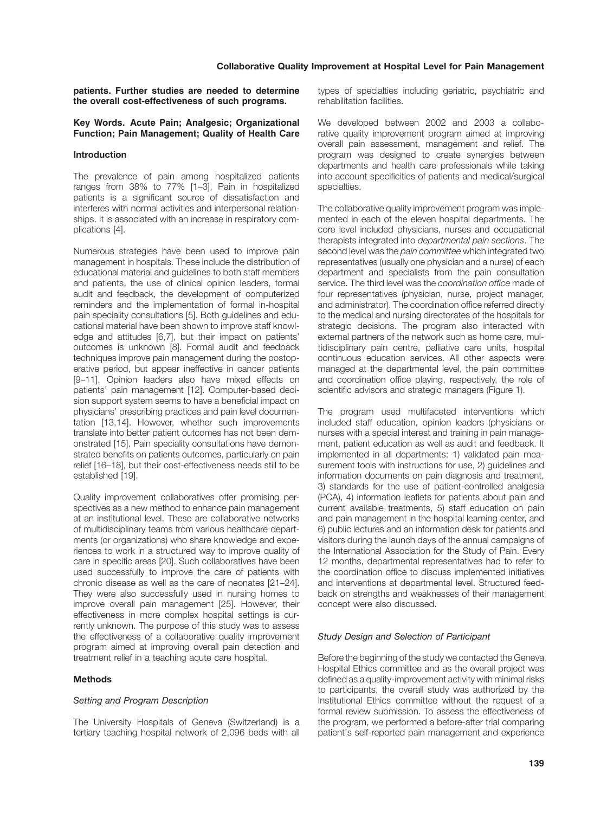**patients. Further studies are needed to determine the overall cost-effectiveness of such programs.**

#### **Key Words. Acute Pain; Analgesic; Organizational Function; Pain Management; Quality of Health Care**

#### **Introduction**

The prevalence of pain among hospitalized patients ranges from 38% to 77% [1–3]. Pain in hospitalized patients is a significant source of dissatisfaction and interferes with normal activities and interpersonal relationships. It is associated with an increase in respiratory complications [4].

Numerous strategies have been used to improve pain management in hospitals. These include the distribution of educational material and guidelines to both staff members and patients, the use of clinical opinion leaders, formal audit and feedback, the development of computerized reminders and the implementation of formal in-hospital pain speciality consultations [5]. Both guidelines and educational material have been shown to improve staff knowledge and attitudes [6,7], but their impact on patients' outcomes is unknown [8]. Formal audit and feedback techniques improve pain management during the postoperative period, but appear ineffective in cancer patients [9–11]. Opinion leaders also have mixed effects on patients' pain management [12]. Computer-based decision support system seems to have a beneficial impact on physicians' prescribing practices and pain level documentation [13,14]. However, whether such improvements translate into better patient outcomes has not been demonstrated [15]. Pain speciality consultations have demonstrated benefits on patients outcomes, particularly on pain relief [16–18], but their cost-effectiveness needs still to be established [19].

Quality improvement collaboratives offer promising perspectives as a new method to enhance pain management at an institutional level. These are collaborative networks of multidisciplinary teams from various healthcare departments (or organizations) who share knowledge and experiences to work in a structured way to improve quality of care in specific areas [20]. Such collaboratives have been used successfully to improve the care of patients with chronic disease as well as the care of neonates [21–24]. They were also successfully used in nursing homes to improve overall pain management [25]. However, their effectiveness in more complex hospital settings is currently unknown. The purpose of this study was to assess the effectiveness of a collaborative quality improvement program aimed at improving overall pain detection and treatment relief in a teaching acute care hospital.

#### **Methods**

#### *Setting and Program Description*

The University Hospitals of Geneva (Switzerland) is a tertiary teaching hospital network of 2,096 beds with all types of specialties including geriatric, psychiatric and rehabilitation facilities.

We developed between 2002 and 2003 a collaborative quality improvement program aimed at improving overall pain assessment, management and relief. The program was designed to create synergies between departments and health care professionals while taking into account specificities of patients and medical/surgical specialties.

The collaborative quality improvement program was implemented in each of the eleven hospital departments. The core level included physicians, nurses and occupational therapists integrated into *departmental pain sections*. The second level was the *pain committee* which integrated two representatives (usually one physician and a nurse) of each department and specialists from the pain consultation service. The third level was the *coordination office* made of four representatives (physician, nurse, project manager, and administrator). The coordination office referred directly to the medical and nursing directorates of the hospitals for strategic decisions. The program also interacted with external partners of the network such as home care, multidisciplinary pain centre, palliative care units, hospital continuous education services. All other aspects were managed at the departmental level, the pain committee and coordination office playing, respectively, the role of scientific advisors and strategic managers (Figure 1).

The program used multifaceted interventions which included staff education, opinion leaders (physicians or nurses with a special interest and training in pain management, patient education as well as audit and feedback. It implemented in all departments: 1) validated pain measurement tools with instructions for use, 2) guidelines and information documents on pain diagnosis and treatment, 3) standards for the use of patient-controlled analgesia (PCA), 4) information leaflets for patients about pain and current available treatments, 5) staff education on pain and pain management in the hospital learning center, and 6) public lectures and an information desk for patients and visitors during the launch days of the annual campaigns of the International Association for the Study of Pain. Every 12 months, departmental representatives had to refer to the coordination office to discuss implemented initiatives and interventions at departmental level. Structured feedback on strengths and weaknesses of their management concept were also discussed.

#### *Study Design and Selection of Participant*

Before the beginning of the study we contacted the Geneva Hospital Ethics committee and as the overall project was defined as a quality-improvement activity with minimal risks to participants, the overall study was authorized by the Institutional Ethics committee without the request of a formal review submission. To assess the effectiveness of the program, we performed a before-after trial comparing patient's self-reported pain management and experience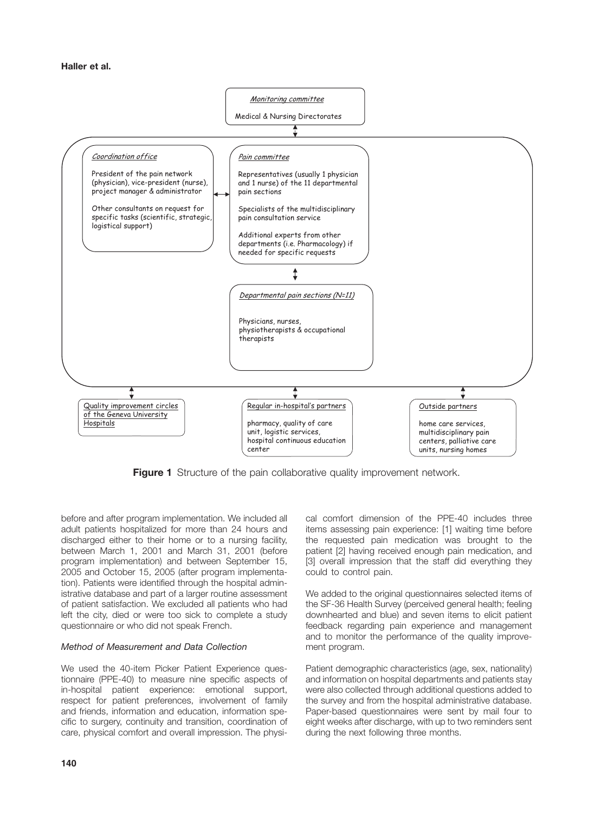

**Figure 1** Structure of the pain collaborative quality improvement network.

before and after program implementation. We included all adult patients hospitalized for more than 24 hours and discharged either to their home or to a nursing facility, between March 1, 2001 and March 31, 2001 (before program implementation) and between September 15, 2005 and October 15, 2005 (after program implementation). Patients were identified through the hospital administrative database and part of a larger routine assessment of patient satisfaction. We excluded all patients who had left the city, died or were too sick to complete a study questionnaire or who did not speak French.

#### *Method of Measurement and Data Collection*

We used the 40-item Picker Patient Experience questionnaire (PPE-40) to measure nine specific aspects of in-hospital patient experience: emotional support, respect for patient preferences, involvement of family and friends, information and education, information specific to surgery, continuity and transition, coordination of care, physical comfort and overall impression. The physical comfort dimension of the PPE-40 includes three items assessing pain experience: [1] waiting time before the requested pain medication was brought to the patient [2] having received enough pain medication, and [3] overall impression that the staff did everything they could to control pain.

We added to the original questionnaires selected items of the SF-36 Health Survey (perceived general health; feeling downhearted and blue) and seven items to elicit patient feedback regarding pain experience and management and to monitor the performance of the quality improvement program.

Patient demographic characteristics (age, sex, nationality) and information on hospital departments and patients stay were also collected through additional questions added to the survey and from the hospital administrative database. Paper-based questionnaires were sent by mail four to eight weeks after discharge, with up to two reminders sent during the next following three months.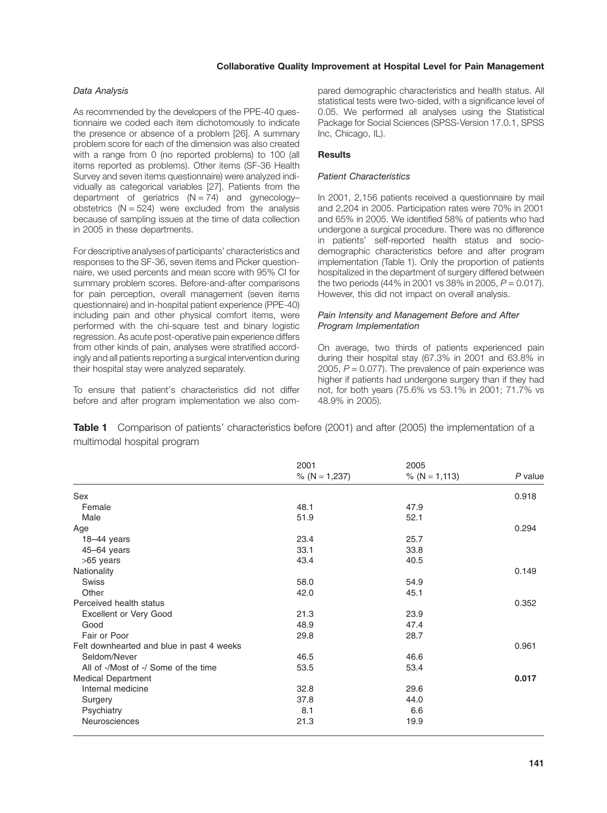#### **Collaborative Quality Improvement at Hospital Level for Pain Management**

#### *Data Analysis*

As recommended by the developers of the PPE-40 questionnaire we coded each item dichotomously to indicate the presence or absence of a problem [26]. A summary problem score for each of the dimension was also created with a range from 0 (no reported problems) to 100 (all items reported as problems). Other items (SF-36 Health Survey and seven items questionnaire) were analyzed individually as categorical variables [27]. Patients from the department of geriatrics  $(N = 74)$  and gynecologyobstetrics  $(N = 524)$  were excluded from the analysis because of sampling issues at the time of data collection in 2005 in these departments.

For descriptive analyses of participants' characteristics and responses to the SF-36, seven items and Picker questionnaire, we used percents and mean score with 95% CI for summary problem scores. Before-and-after comparisons for pain perception, overall management (seven items questionnaire) and in-hospital patient experience (PPE-40) including pain and other physical comfort items, were performed with the chi-square test and binary logistic regression. As acute post-operative pain experience differs from other kinds of pain, analyses were stratified accordingly and all patients reporting a surgical intervention during their hospital stay were analyzed separately.

To ensure that patient's characteristics did not differ before and after program implementation we also compared demographic characteristics and health status. All statistical tests were two-sided, with a significance level of 0.05. We performed all analyses using the Statistical Package for Social Sciences (SPSS-Version 17.0.1, SPSS Inc, Chicago, IL).

#### **Results**

#### *Patient Characteristics*

In 2001, 2,156 patients received a questionnaire by mail and 2,204 in 2005. Participation rates were 70% in 2001 and 65% in 2005. We identified 58% of patients who had undergone a surgical procedure. There was no difference in patients' self-reported health status and sociodemographic characteristics before and after program implementation (Table 1). Only the proportion of patients hospitalized in the department of surgery differed between the two periods (44% in 2001 vs  $38\%$  in 2005,  $P = 0.017$ ). However, this did not impact on overall analysis.

#### *Pain Intensity and Management Before and After Program Implementation*

On average, two thirds of patients experienced pain during their hospital stay (67.3% in 2001 and 63.8% in 2005,  $P = 0.077$ ). The prevalence of pain experience was higher if patients had undergone surgery than if they had not, for both years (75.6% vs 53.1% in 2001; 71.7% vs 48.9% in 2005).

**Table 1** Comparison of patients' characteristics before (2001) and after (2005) the implementation of a multimodal hospital program

|                                           | 2001<br>% ( $N = 1,237$ ) | 2005<br>% ( $N = 1,113$ ) | $P$ value |
|-------------------------------------------|---------------------------|---------------------------|-----------|
| Sex                                       |                           |                           | 0.918     |
| Female                                    | 48.1                      | 47.9                      |           |
| Male                                      | 51.9                      | 52.1                      |           |
| Age                                       |                           |                           | 0.294     |
| $18-44$ years                             | 23.4                      | 25.7                      |           |
| 45-64 years                               | 33.1                      | 33.8                      |           |
| >65 years                                 | 43.4                      | 40.5                      |           |
| Nationality                               |                           |                           | 0.149     |
| <b>Swiss</b>                              | 58.0                      | 54.9                      |           |
| Other                                     | 42.0                      | 45.1                      |           |
| Perceived health status                   |                           |                           | 0.352     |
| Excellent or Very Good                    | 21.3                      | 23.9                      |           |
| Good                                      | 48.9                      | 47.4                      |           |
| Fair or Poor                              | 29.8                      | 28.7                      |           |
| Felt downhearted and blue in past 4 weeks |                           |                           | 0.961     |
| Seldom/Never                              | 46.5                      | 46.6                      |           |
| All of -/Most of -/ Some of the time      | 53.5                      | 53.4                      |           |
| <b>Medical Department</b>                 |                           |                           | 0.017     |
| Internal medicine                         | 32.8                      | 29.6                      |           |
| Surgery                                   | 37.8                      | 44.0                      |           |
| Psychiatry                                | 8.1                       | 6.6                       |           |
| Neurosciences                             | 21.3                      | 19.9                      |           |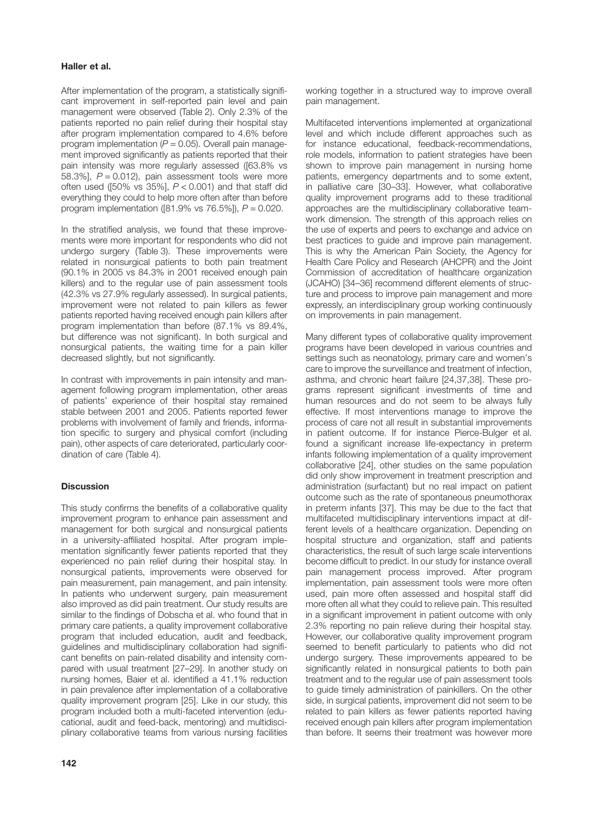#### **Haller et al.**

After implementation of the program, a statistically significant improvement in self-reported pain level and pain management were observed (Table 2). Only 2.3% of the patients reported no pain relief during their hospital stay after program implementation compared to 4.6% before program implementation  $(P = 0.05)$ . Overall pain management improved significantly as patients reported that their pain intensity was more regularly assessed ([63.8% vs 58.3%], *P* = 0.012), pain assessment tools were more often used ([50% vs 35%], *P* < 0.001) and that staff did everything they could to help more often after than before program implementation ([81.9% vs 76.5%]), *P* = 0.020.

In the stratified analysis, we found that these improvements were more important for respondents who did not undergo surgery (Table 3). These improvements were related in nonsurgical patients to both pain treatment (90.1% in 2005 vs 84.3% in 2001 received enough pain killers) and to the regular use of pain assessment tools (42.3% vs 27.9% regularly assessed). In surgical patients, improvement were not related to pain killers as fewer patients reported having received enough pain killers after program implementation than before (87.1% vs 89.4%, but difference was not significant). In both surgical and nonsurgical patients, the waiting time for a pain killer decreased slightly, but not significantly.

In contrast with improvements in pain intensity and management following program implementation, other areas of patients' experience of their hospital stay remained stable between 2001 and 2005. Patients reported fewer problems with involvement of family and friends, information specific to surgery and physical comfort (including pain), other aspects of care deteriorated, particularly coordination of care (Table 4).

#### **Discussion**

This study confirms the benefits of a collaborative quality improvement program to enhance pain assessment and management for both surgical and nonsurgical patients in a university-affiliated hospital. After program implementation significantly fewer patients reported that they experienced no pain relief during their hospital stay. In nonsurgical patients, improvements were observed for pain measurement, pain management, and pain intensity. In patients who underwent surgery, pain measurement also improved as did pain treatment. Our study results are similar to the findings of Dobscha et al. who found that in primary care patients, a quality improvement collaborative program that included education, audit and feedback, guidelines and multidisciplinary collaboration had significant benefits on pain-related disability and intensity compared with usual treatment [27–29]. In another study on nursing homes, Baier et al. identified a 41.1% reduction in pain prevalence after implementation of a collaborative quality improvement program [25]. Like in our study, this program included both a multi-faceted intervention (educational, audit and feed-back, mentoring) and multidisciplinary collaborative teams from various nursing facilities

working together in a structured way to improve overall pain management.

Multifaceted interventions implemented at organizational level and which include different approaches such as for instance educational, feedback-recommendations, role models, information to patient strategies have been shown to improve pain management in nursing home patients, emergency departments and to some extent, in palliative care [30–33]. However, what collaborative quality improvement programs add to these traditional approaches are the multidisciplinary collaborative teamwork dimension. The strength of this approach relies on the use of experts and peers to exchange and advice on best practices to guide and improve pain management. This is why the American Pain Society, the Agency for Health Care Policy and Research (AHCPR) and the Joint Commission of accreditation of healthcare organization (JCAHO) [34–36] recommend different elements of structure and process to improve pain management and more expressly, an interdisciplinary group working continuously on improvements in pain management.

Many different types of collaborative quality improvement programs have been developed in various countries and settings such as neonatology, primary care and women's care to improve the surveillance and treatment of infection, asthma, and chronic heart failure [24,37,38]. These programs represent significant investments of time and human resources and do not seem to be always fully effective. If most interventions manage to improve the process of care not all result in substantial improvements in patient outcome. If for instance Pierce-Bulger et al. found a significant increase life-expectancy in preterm infants following implementation of a quality improvement collaborative [24], other studies on the same population did only show improvement in treatment prescription and administration (surfactant) but no real impact on patient outcome such as the rate of spontaneous pneumothorax in preterm infants [37]. This may be due to the fact that multifaceted multidisciplinary interventions impact at different levels of a healthcare organization. Depending on hospital structure and organization, staff and patients characteristics, the result of such large scale interventions become difficult to predict. In our study for instance overall pain management process improved. After program implementation, pain assessment tools were more often used, pain more often assessed and hospital staff did more often all what they could to relieve pain. This resulted in a significant improvement in patient outcome with only 2.3% reporting no pain relieve during their hospital stay. However, our collaborative quality improvement program seemed to benefit particularly to patients who did not undergo surgery. These improvements appeared to be significantly related in nonsurgical patients to both pain treatment and to the regular use of pain assessment tools to guide timely administration of painkillers. On the other side, in surgical patients, improvement did not seem to be related to pain killers as fewer patients reported having received enough pain killers after program implementation than before. It seems their treatment was however more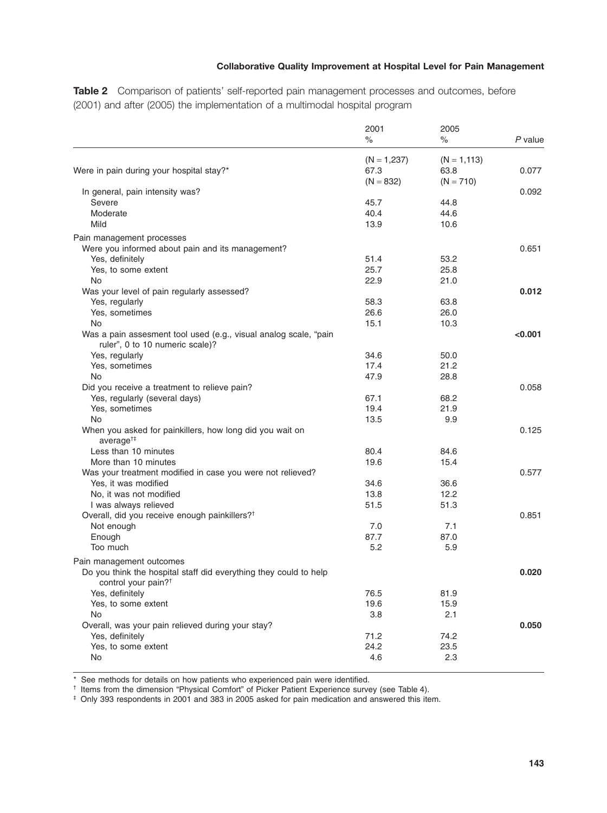### **Collaborative Quality Improvement at Hospital Level for Pain Management**

**Table 2** Comparison of patients' self-reported pain management processes and outcomes, before (2001) and after (2005) the implementation of a multimodal hospital program

|                                                                                                      | 2001          | 2005           |           |
|------------------------------------------------------------------------------------------------------|---------------|----------------|-----------|
|                                                                                                      | $\%$          | %              | $P$ value |
|                                                                                                      | $(N = 1,237)$ | $(N = 1, 113)$ |           |
| Were in pain during your hospital stay?*                                                             | 67.3          | 63.8           | 0.077     |
|                                                                                                      | $(N = 832)$   | $(N = 710)$    |           |
| In general, pain intensity was?                                                                      |               |                | 0.092     |
| Severe                                                                                               | 45.7          | 44.8           |           |
| Moderate                                                                                             | 40.4          | 44.6           |           |
| Mild                                                                                                 | 13.9          | 10.6           |           |
|                                                                                                      |               |                |           |
| Pain management processes                                                                            |               |                |           |
| Were you informed about pain and its management?                                                     |               |                | 0.651     |
| Yes, definitely                                                                                      | 51.4          | 53.2           |           |
| Yes, to some extent                                                                                  | 25.7          | 25.8           |           |
| No                                                                                                   | 22.9          | 21.0           |           |
| Was your level of pain regularly assessed?                                                           |               |                | 0.012     |
| Yes, regularly                                                                                       | 58.3          | 63.8           |           |
| Yes, sometimes                                                                                       | 26.6          | 26.0           |           |
| No                                                                                                   | 15.1          | 10.3           |           |
| Was a pain assesment tool used (e.g., visual analog scale, "pain<br>ruler", 0 to 10 numeric scale)?  |               |                | < 0.001   |
| Yes, regularly                                                                                       | 34.6          | 50.0           |           |
| Yes, sometimes                                                                                       | 17.4          | 21.2           |           |
| No                                                                                                   | 47.9          | 28.8           |           |
| Did you receive a treatment to relieve pain?                                                         |               |                | 0.058     |
| Yes, regularly (several days)                                                                        | 67.1          | 68.2           |           |
| Yes, sometimes                                                                                       | 19.4          | 21.9           |           |
| No                                                                                                   | 13.5          | 9.9            |           |
| When you asked for painkillers, how long did you wait on                                             |               |                | 0.125     |
| average <sup>+‡</sup>                                                                                |               |                |           |
| Less than 10 minutes                                                                                 | 80.4          | 84.6           |           |
| More than 10 minutes                                                                                 | 19.6          | 15.4           |           |
| Was your treatment modified in case you were not relieved?                                           |               |                | 0.577     |
| Yes, it was modified                                                                                 | 34.6          | 36.6           |           |
| No, it was not modified                                                                              | 13.8          | 12.2           |           |
| I was always relieved                                                                                | 51.5          | 51.3           |           |
|                                                                                                      |               |                | 0.851     |
| Overall, did you receive enough painkillers? <sup>†</sup>                                            | 7.0           |                |           |
| Not enough                                                                                           |               | 7.1            |           |
| Enough                                                                                               | 87.7          | 87.0           |           |
| Too much                                                                                             | 5.2           | 5.9            |           |
| Pain management outcomes                                                                             |               |                |           |
| Do you think the hospital staff did everything they could to help<br>control your pain? <sup>†</sup> |               |                | 0.020     |
| Yes, definitely                                                                                      | 76.5          | 81.9           |           |
| Yes, to some extent                                                                                  | 19.6          | 15.9           |           |
| No                                                                                                   | 3.8           | 2.1            |           |
| Overall, was your pain relieved during your stay?                                                    |               |                | 0.050     |
| Yes, definitely                                                                                      | 71.2          | 74.2           |           |
| Yes, to some extent                                                                                  | 24.2          | 23.5           |           |
| No                                                                                                   | 4.6           | 2.3            |           |
|                                                                                                      |               |                |           |

\* See methods for details on how patients who experienced pain were identified.

† Items from the dimension "Physical Comfort" of Picker Patient Experience survey (see Table 4).

‡ Only 393 respondents in 2001 and 383 in 2005 asked for pain medication and answered this item.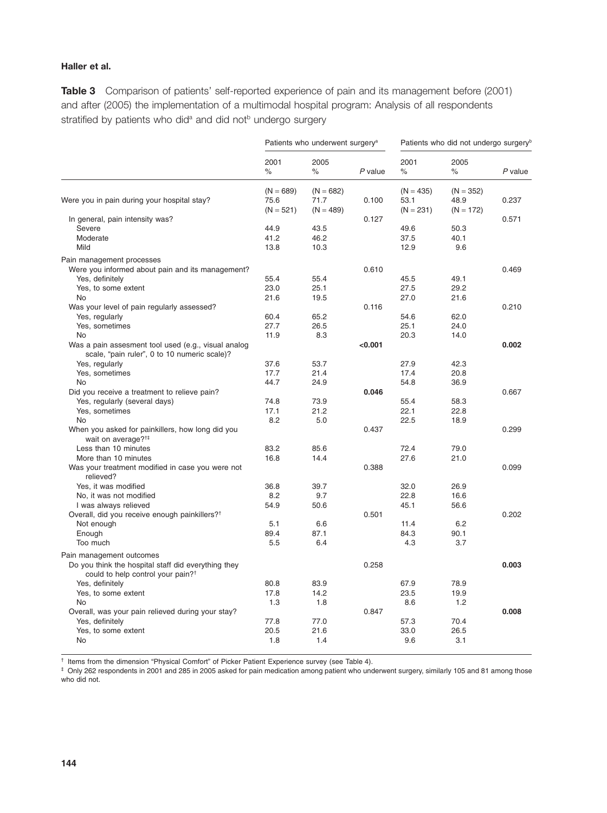### **Haller et al.**

**Table 3** Comparison of patients' self-reported experience of pain and its management before (2001) and after (2005) the implementation of a multimodal hospital program: Analysis of all respondents stratified by patients who did<sup>a</sup> and did not<sup>b</sup> undergo surgery

|                                                           | Patients who underwent surgery <sup>a</sup> |                                    | Patients who did not undergo surgery <sup>b</sup> |                                    |                                    |           |
|-----------------------------------------------------------|---------------------------------------------|------------------------------------|---------------------------------------------------|------------------------------------|------------------------------------|-----------|
|                                                           | 2001<br>$\%$                                | 2005<br>$\%$                       | $P$ value                                         | 2001<br>$\%$                       | 2005<br>%                          | $P$ value |
| Were you in pain during your hospital stay?               | $(N = 689)$<br>75.6<br>$(N = 521)$          | $(N = 682)$<br>71.7<br>$(N = 489)$ | 0.100                                             | $(N = 435)$<br>53.1<br>$(N = 231)$ | $(N = 352)$<br>48.9<br>$(N = 172)$ | 0.237     |
| In general, pain intensity was?                           |                                             |                                    | 0.127                                             |                                    |                                    | 0.571     |
| Severe                                                    | 44.9                                        | 43.5                               |                                                   | 49.6                               | 50.3                               |           |
| Moderate                                                  | 41.2                                        | 46.2                               |                                                   | 37.5                               | 40.1                               |           |
| Mild                                                      | 13.8                                        | 10.3                               |                                                   | 12.9                               | 9.6                                |           |
| Pain management processes                                 |                                             |                                    |                                                   |                                    |                                    |           |
| Were you informed about pain and its management?          |                                             |                                    | 0.610                                             |                                    |                                    | 0.469     |
| Yes, definitely                                           | 55.4                                        | 55.4                               |                                                   | 45.5                               | 49.1                               |           |
| Yes, to some extent                                       | 23.0                                        | 25.1                               |                                                   | 27.5                               | 29.2                               |           |
| No                                                        | 21.6                                        | 19.5                               |                                                   | 27.0                               | 21.6                               |           |
| Was your level of pain regularly assessed?                |                                             |                                    | 0.116                                             |                                    |                                    | 0.210     |
| Yes, regularly                                            | 60.4                                        | 65.2                               |                                                   | 54.6                               | 62.0                               |           |
| Yes, sometimes                                            | 27.7                                        | 26.5                               |                                                   | 25.1                               | 24.0                               |           |
| No                                                        | 11.9                                        | 8.3                                |                                                   | 20.3                               | 14.0                               |           |
| Was a pain assesment tool used (e.g., visual analog       |                                             |                                    | < 0.001                                           |                                    |                                    | 0.002     |
| scale, "pain ruler", 0 to 10 numeric scale)?              |                                             |                                    |                                                   |                                    |                                    |           |
| Yes, regularly                                            | 37.6                                        | 53.7                               |                                                   | 27.9                               | 42.3                               |           |
| Yes, sometimes                                            | 17.7                                        | 21.4                               |                                                   | 17.4                               | 20.8                               |           |
| No.                                                       | 44.7                                        | 24.9                               |                                                   | 54.8                               | 36.9                               |           |
| Did you receive a treatment to relieve pain?              |                                             |                                    | 0.046                                             |                                    |                                    | 0.667     |
| Yes, regularly (several days)                             | 74.8                                        | 73.9                               |                                                   | 55.4                               | 58.3                               |           |
| Yes, sometimes                                            | 17.1                                        | 21.2                               |                                                   | 22.1                               | 22.8                               |           |
| No                                                        | 8.2                                         | 5.0                                |                                                   | 22.5                               | 18.9                               |           |
| When you asked for painkillers, how long did you          |                                             |                                    | 0.437                                             |                                    |                                    | 0.299     |
| wait on average? <sup>†‡</sup>                            |                                             |                                    |                                                   |                                    |                                    |           |
| Less than 10 minutes                                      | 83.2                                        | 85.6                               |                                                   | 72.4                               | 79.0                               |           |
| More than 10 minutes                                      | 16.8                                        | 14.4                               |                                                   | 27.6                               | 21.0                               |           |
| Was your treatment modified in case you were not          |                                             |                                    | 0.388                                             |                                    |                                    | 0.099     |
| relieved?                                                 |                                             |                                    |                                                   |                                    |                                    |           |
| Yes, it was modified                                      | 36.8                                        | 39.7                               |                                                   | 32.0                               | 26.9                               |           |
| No, it was not modified                                   | 8.2                                         | 9.7                                |                                                   | 22.8                               | 16.6                               |           |
| I was always relieved                                     | 54.9                                        | 50.6                               |                                                   | 45.1                               | 56.6                               |           |
| Overall, did you receive enough painkillers? <sup>†</sup> |                                             |                                    | 0.501                                             |                                    |                                    | 0.202     |
| Not enough                                                | 5.1                                         | 6.6                                |                                                   | 11.4                               | 6.2                                |           |
| Enough                                                    | 89.4                                        | 87.1                               |                                                   | 84.3                               | 90.1                               |           |
| Too much                                                  | 5.5                                         | 6.4                                |                                                   | 4.3                                | 3.7                                |           |
| Pain management outcomes                                  |                                             |                                    |                                                   |                                    |                                    |           |
| Do you think the hospital staff did everything they       |                                             |                                    | 0.258                                             |                                    |                                    | 0.003     |
| could to help control your pain? <sup>†</sup>             |                                             |                                    |                                                   |                                    |                                    |           |
| Yes, definitely                                           | 80.8                                        | 83.9                               |                                                   | 67.9                               | 78.9                               |           |
| Yes, to some extent                                       | 17.8                                        | 14.2                               |                                                   | 23.5                               | 19.9                               |           |
| No                                                        | 1.3                                         | 1.8                                |                                                   | 8.6                                | 1.2                                |           |
| Overall, was your pain relieved during your stay?         |                                             |                                    | 0.847                                             |                                    |                                    | 0.008     |
| Yes, definitely                                           | 77.8                                        | 77.0                               |                                                   | 57.3                               | 70.4                               |           |
| Yes, to some extent                                       | 20.5                                        | 21.6                               |                                                   | 33.0                               | 26.5                               |           |
| No                                                        | 1.8                                         | 1.4                                |                                                   | 9.6                                | 3.1                                |           |
|                                                           |                                             |                                    |                                                   |                                    |                                    |           |

† Items from the dimension "Physical Comfort" of Picker Patient Experience survey (see Table 4).

‡ Only 262 respondents in 2001 and 285 in 2005 asked for pain medication among patient who underwent surgery, similarly 105 and 81 among those who did not.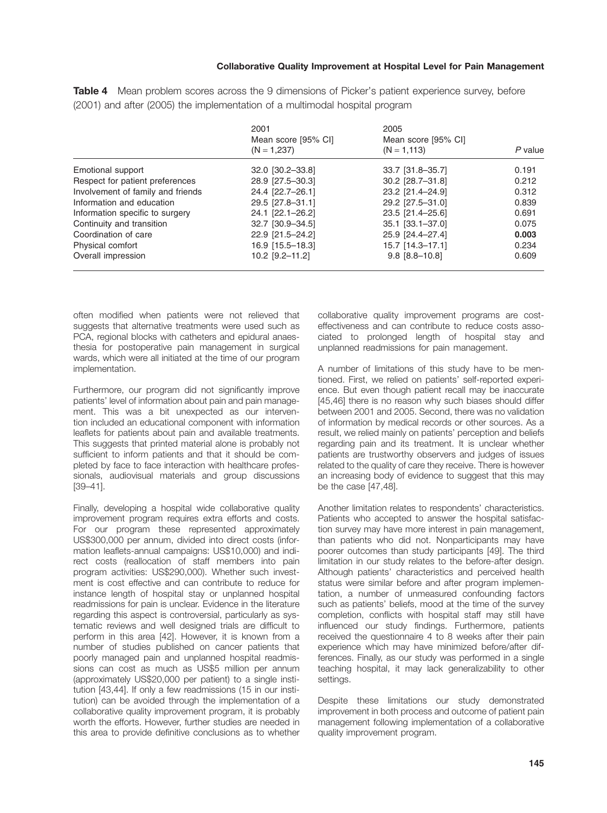|                                   | 2001                                 | 2005                                  |         |  |
|-----------------------------------|--------------------------------------|---------------------------------------|---------|--|
|                                   | Mean score [95% CI]<br>$(N = 1,237)$ | Mean score [95% CI]<br>$(N = 1, 113)$ | P value |  |
| Emotional support                 | 32.0 [30.2-33.8]                     | 33.7 [31.8-35.7]                      | 0.191   |  |
| Respect for patient preferences   | 28.9 [27.5-30.3]                     | 30.2 [28.7-31.8]                      | 0.212   |  |
| Involvement of family and friends | 24.4 [22.7-26.1]                     | 23.2 [21.4-24.9]                      | 0.312   |  |
| Information and education         | 29.5 [27.8-31.1]                     | 29.2 [27.5-31.0]                      | 0.839   |  |
| Information specific to surgery   | 24.1 [22.1-26.2]                     | 23.5 [21.4-25.6]                      | 0.691   |  |
| Continuity and transition         | 32.7 [30.9-34.5]                     | 35.1 [33.1-37.0]                      | 0.075   |  |
| Coordination of care              | 22.9 [21.5-24.2]                     | 25.9 [24.4-27.4]                      | 0.003   |  |
| Physical comfort                  | 16.9 [15.5-18.3]                     | 15.7 [14.3-17.1]                      | 0.234   |  |
| Overall impression                | 10.2 [9.2-11.2]                      | $9.8$ $[8.8 - 10.8]$                  | 0.609   |  |

**Table 4** Mean problem scores across the 9 dimensions of Picker's patient experience survey, before (2001) and after (2005) the implementation of a multimodal hospital program

often modified when patients were not relieved that suggests that alternative treatments were used such as PCA, regional blocks with catheters and epidural anaesthesia for postoperative pain management in surgical wards, which were all initiated at the time of our program implementation.

Furthermore, our program did not significantly improve patients' level of information about pain and pain management. This was a bit unexpected as our intervention included an educational component with information leaflets for patients about pain and available treatments. This suggests that printed material alone is probably not sufficient to inform patients and that it should be completed by face to face interaction with healthcare professionals, audiovisual materials and group discussions [39–41].

Finally, developing a hospital wide collaborative quality improvement program requires extra efforts and costs. For our program these represented approximately US\$300,000 per annum, divided into direct costs (information leaflets-annual campaigns: US\$10,000) and indirect costs (reallocation of staff members into pain program activities: US\$290,000). Whether such investment is cost effective and can contribute to reduce for instance length of hospital stay or unplanned hospital readmissions for pain is unclear. Evidence in the literature regarding this aspect is controversial, particularly as systematic reviews and well designed trials are difficult to perform in this area [42]. However, it is known from a number of studies published on cancer patients that poorly managed pain and unplanned hospital readmissions can cost as much as US\$5 million per annum (approximately US\$20,000 per patient) to a single institution [43,44]. If only a few readmissions (15 in our institution) can be avoided through the implementation of a collaborative quality improvement program, it is probably worth the efforts. However, further studies are needed in this area to provide definitive conclusions as to whether collaborative quality improvement programs are costeffectiveness and can contribute to reduce costs associated to prolonged length of hospital stay and unplanned readmissions for pain management.

A number of limitations of this study have to be mentioned. First, we relied on patients' self-reported experience. But even though patient recall may be inaccurate [45,46] there is no reason why such biases should differ between 2001 and 2005. Second, there was no validation of information by medical records or other sources. As a result, we relied mainly on patients' perception and beliefs regarding pain and its treatment. It is unclear whether patients are trustworthy observers and judges of issues related to the quality of care they receive. There is however an increasing body of evidence to suggest that this may be the case [47,48].

Another limitation relates to respondents' characteristics. Patients who accepted to answer the hospital satisfaction survey may have more interest in pain management, than patients who did not. Nonparticipants may have poorer outcomes than study participants [49]. The third limitation in our study relates to the before-after design. Although patients' characteristics and perceived health status were similar before and after program implementation, a number of unmeasured confounding factors such as patients' beliefs, mood at the time of the survey completion, conflicts with hospital staff may still have influenced our study findings. Furthermore, patients received the questionnaire 4 to 8 weeks after their pain experience which may have minimized before/after differences. Finally, as our study was performed in a single teaching hospital, it may lack generalizability to other settings.

Despite these limitations our study demonstrated improvement in both process and outcome of patient pain management following implementation of a collaborative quality improvement program.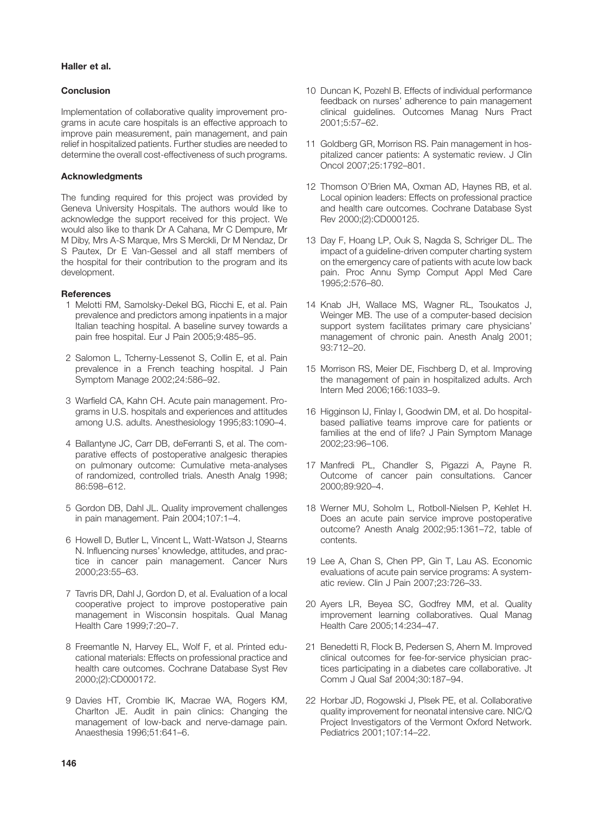#### **Haller et al.**

#### **Conclusion**

Implementation of collaborative quality improvement programs in acute care hospitals is an effective approach to improve pain measurement, pain management, and pain relief in hospitalized patients. Further studies are needed to determine the overall cost-effectiveness of such programs.

#### **Acknowledgments**

The funding required for this project was provided by Geneva University Hospitals. The authors would like to acknowledge the support received for this project. We would also like to thank Dr A Cahana, Mr C Dempure, Mr M Diby, Mrs A-S Marque, Mrs S Merckli, Dr M Nendaz, Dr S Pautex, Dr E Van-Gessel and all staff members of the hospital for their contribution to the program and its development.

#### **References**

- 1 Melotti RM, Samolsky-Dekel BG, Ricchi E, et al. Pain prevalence and predictors among inpatients in a major Italian teaching hospital. A baseline survey towards a pain free hospital. Eur J Pain 2005;9:485–95.
- 2 Salomon L, Tcherny-Lessenot S, Collin E, et al. Pain prevalence in a French teaching hospital. J Pain Symptom Manage 2002;24:586–92.
- 3 Warfield CA, Kahn CH. Acute pain management. Programs in U.S. hospitals and experiences and attitudes among U.S. adults. Anesthesiology 1995;83:1090–4.
- 4 Ballantyne JC, Carr DB, deFerranti S, et al. The comparative effects of postoperative analgesic therapies on pulmonary outcome: Cumulative meta-analyses of randomized, controlled trials. Anesth Analg 1998; 86:598–612.
- 5 Gordon DB, Dahl JL. Quality improvement challenges in pain management. Pain 2004;107:1–4.
- 6 Howell D, Butler L, Vincent L, Watt-Watson J, Stearns N. Influencing nurses' knowledge, attitudes, and practice in cancer pain management. Cancer Nurs 2000;23:55–63.
- 7 Tavris DR, Dahl J, Gordon D, et al. Evaluation of a local cooperative project to improve postoperative pain management in Wisconsin hospitals. Qual Manag Health Care 1999;7:20–7.
- 8 Freemantle N, Harvey EL, Wolf F, et al. Printed educational materials: Effects on professional practice and health care outcomes. Cochrane Database Syst Rev 2000;(2):CD000172.
- 9 Davies HT, Crombie IK, Macrae WA, Rogers KM, Charlton JE. Audit in pain clinics: Changing the management of low-back and nerve-damage pain. Anaesthesia 1996;51:641–6.
- 10 Duncan K, Pozehl B. Effects of individual performance feedback on nurses' adherence to pain management clinical guidelines. Outcomes Manag Nurs Pract 2001;5:57–62.
- 11 Goldberg GR, Morrison RS. Pain management in hospitalized cancer patients: A systematic review. J Clin Oncol 2007;25:1792–801.
- 12 Thomson O'Brien MA, Oxman AD, Haynes RB, et al. Local opinion leaders: Effects on professional practice and health care outcomes. Cochrane Database Syst Rev 2000;(2):CD000125.
- 13 Day F, Hoang LP, Ouk S, Nagda S, Schriger DL. The impact of a guideline-driven computer charting system on the emergency care of patients with acute low back pain. Proc Annu Symp Comput Appl Med Care 1995;2:576–80.
- 14 Knab JH, Wallace MS, Wagner RL, Tsoukatos J, Weinger MB. The use of a computer-based decision support system facilitates primary care physicians' management of chronic pain. Anesth Analg 2001; 93:712–20.
- 15 Morrison RS, Meier DE, Fischberg D, et al. Improving the management of pain in hospitalized adults. Arch Intern Med 2006;166:1033–9.
- 16 Higginson IJ, Finlay I, Goodwin DM, et al. Do hospitalbased palliative teams improve care for patients or families at the end of life? J Pain Symptom Manage 2002;23:96–106.
- 17 Manfredi PL, Chandler S, Pigazzi A, Payne R. Outcome of cancer pain consultations. Cancer 2000;89:920–4.
- 18 Werner MU, Soholm L, Rotboll-Nielsen P, Kehlet H. Does an acute pain service improve postoperative outcome? Anesth Analg 2002;95:1361–72, table of contents.
- 19 Lee A, Chan S, Chen PP, Gin T, Lau AS. Economic evaluations of acute pain service programs: A systematic review. Clin J Pain 2007;23:726–33.
- 20 Ayers LR, Beyea SC, Godfrey MM, et al. Quality improvement learning collaboratives. Qual Manag Health Care 2005;14:234–47.
- 21 Benedetti R, Flock B, Pedersen S, Ahern M. Improved clinical outcomes for fee-for-service physician practices participating in a diabetes care collaborative. Jt Comm J Qual Saf 2004;30:187–94.
- 22 Horbar JD, Rogowski J, Plsek PE, et al. Collaborative quality improvement for neonatal intensive care. NIC/Q Project Investigators of the Vermont Oxford Network. Pediatrics 2001;107:14–22.